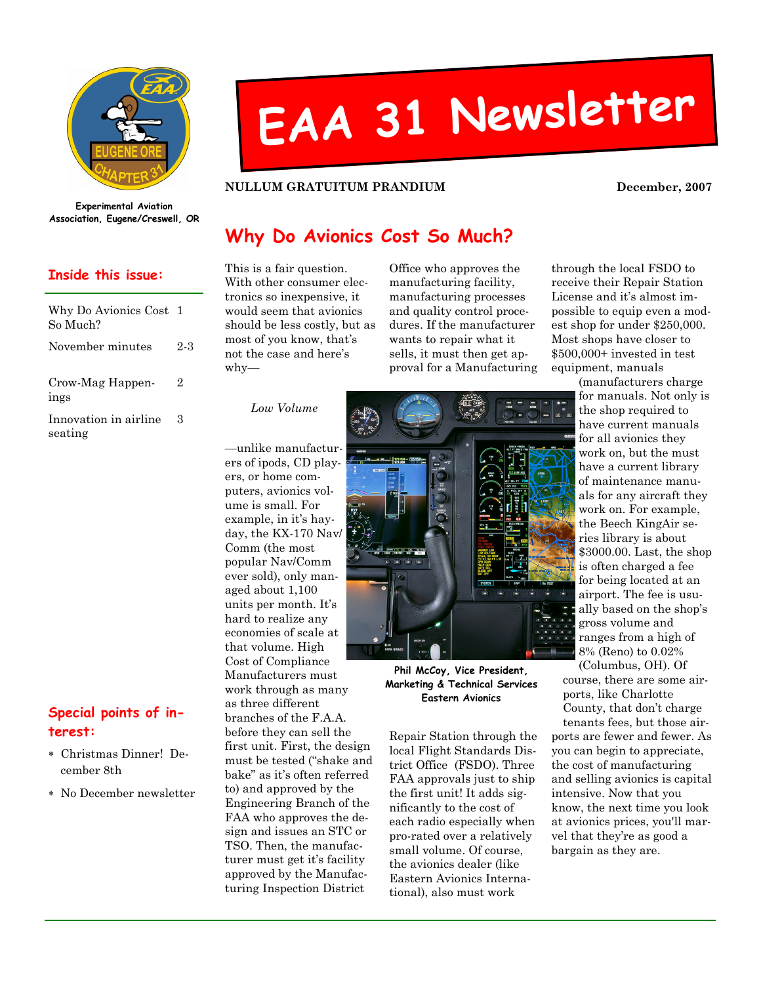

# EAA <sup>31</sup> Newsletter

#### NULLUM GRATUITUM PRANDIUM DECEMBER, 2007

Experimental Aviation Association, Eugene/Creswell, OR

#### Inside this issue:

| Why Do Avionics Cost 1<br>So Much? |     |
|------------------------------------|-----|
| November minutes                   | 2-3 |
| Crow-Mag Happen-<br>ings           | 2   |
| Innovation in airline<br>seating   | З   |

| Special points of in- |  |  |
|-----------------------|--|--|
| terest:               |  |  |

- ∗ Christmas Dinner! December 8th
- ∗ No December newsletter

# Why Do Avionics Cost So Much?

This is a fair question. With other consumer electronics so inexpensive, it would seem that avionics should be less costly, but as most of you know, that's not the case and here's why—

Office who approves the manufacturing facility, manufacturing processes and quality control procedures. If the manufacturer wants to repair what it sells, it must then get approval for a Manufacturing

through the local FSDO to receive their Repair Station License and it's almost impossible to equip even a modest shop for under \$250,000. Most shops have closer to \$500,000+ invested in test equipment, manuals

Low Volume

—unlike manufacturers of ipods, CD players, or home computers, avionics volume is small. For example, in it's hayday, the KX-170 Nav/ Comm (the most popular Nav/Comm ever sold), only managed about 1,100 units per month. It's hard to realize any economies of scale at that volume. High Cost of Compliance Manufacturers must work through as many as three different branches of the F.A.A. before they can sell the first unit. First, the design must be tested ("shake and bake" as it's often referred to) and approved by the Engineering Branch of the FAA who approves the design and issues an STC or TSO. Then, the manufacturer must get it's facility approved by the Manufacturing Inspection District



Phil McCoy, Vice President, Marketing & Technical Services Eastern Avionics

Repair Station through the local Flight Standards District Office (FSDO). Three FAA approvals just to ship the first unit! It adds significantly to the cost of each radio especially when pro-rated over a relatively small volume. Of course, the avionics dealer (like Eastern Avionics International), also must work

(manufacturers charge for manuals. Not only is the shop required to have current manuals for all avionics they work on, but the must have a current library of maintenance manuals for any aircraft they work on. For example, the Beech KingAir series library is about \$3000.00. Last, the shop is often charged a fee for being located at an airport. The fee is usually based on the shop's gross volume and ranges from a high of 8% (Reno) to 0.02%

(Columbus, OH). Of course, there are some airports, like Charlotte County, that don't charge

tenants fees, but those airports are fewer and fewer. As you can begin to appreciate, the cost of manufacturing and selling avionics is capital intensive. Now that you know, the next time you look at avionics prices, you'll marvel that they're as good a bargain as they are.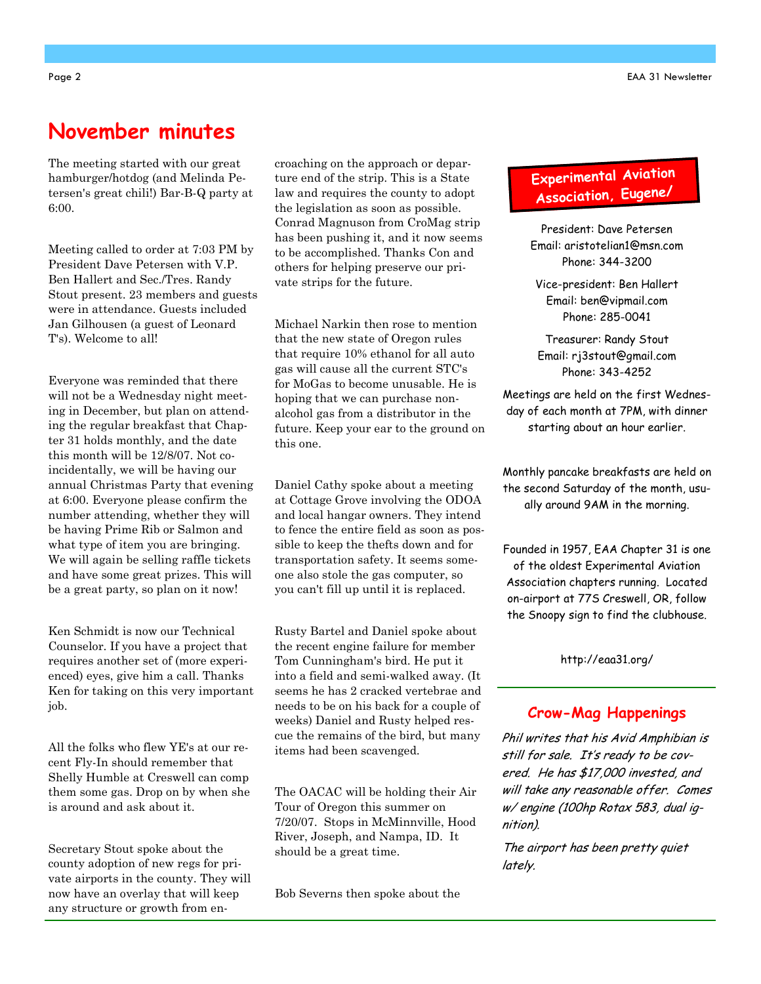## November minutes

The meeting started with our great hamburger/hotdog (and Melinda Petersen's great chili!) Bar-B-Q party at 6:00.

Meeting called to order at 7:03 PM by President Dave Petersen with V.P. Ben Hallert and Sec./Tres. Randy Stout present. 23 members and guests were in attendance. Guests included Jan Gilhousen (a guest of Leonard T's). Welcome to all!

Everyone was reminded that there will not be a Wednesday night meeting in December, but plan on attending the regular breakfast that Chapter 31 holds monthly, and the date this month will be 12/8/07. Not coincidentally, we will be having our annual Christmas Party that evening at 6:00. Everyone please confirm the number attending, whether they will be having Prime Rib or Salmon and what type of item you are bringing. We will again be selling raffle tickets and have some great prizes. This will be a great party, so plan on it now!

Ken Schmidt is now our Technical Counselor. If you have a project that requires another set of (more experienced) eyes, give him a call. Thanks Ken for taking on this very important job.

All the folks who flew YE's at our recent Fly-In should remember that Shelly Humble at Creswell can comp them some gas. Drop on by when she is around and ask about it.

Secretary Stout spoke about the county adoption of new regs for private airports in the county. They will now have an overlay that will keep any structure or growth from encroaching on the approach or departure end of the strip. This is a State law and requires the county to adopt the legislation as soon as possible. Conrad Magnuson from CroMag strip has been pushing it, and it now seems to be accomplished. Thanks Con and others for helping preserve our private strips for the future.

Michael Narkin then rose to mention that the new state of Oregon rules that require 10% ethanol for all auto gas will cause all the current STC's for MoGas to become unusable. He is hoping that we can purchase nonalcohol gas from a distributor in the future. Keep your ear to the ground on this one.

Daniel Cathy spoke about a meeting at Cottage Grove involving the ODOA and local hangar owners. They intend to fence the entire field as soon as possible to keep the thefts down and for transportation safety. It seems someone also stole the gas computer, so you can't fill up until it is replaced.

Rusty Bartel and Daniel spoke about the recent engine failure for member Tom Cunningham's bird. He put it into a field and semi-walked away. (It seems he has 2 cracked vertebrae and needs to be on his back for a couple of weeks) Daniel and Rusty helped rescue the remains of the bird, but many items had been scavenged.

The OACAC will be holding their Air Tour of Oregon this summer on 7/20/07. Stops in McMinnville, Hood River, Joseph, and Nampa, ID. It should be a great time.

Bob Severns then spoke about the

### Experimenta<sup>l</sup> Aviation Association, Eugene/

President: Dave Petersen Email: aristotelian1@msn.com Phone: 344-3200

Vice-president: Ben Hallert Email: ben@vipmail.com Phone: 285-0041

Treasurer: Randy Stout Email: rj3stout@gmail.com Phone: 343-4252

Meetings are held on the first Wednesday of each month at 7PM, with dinner starting about an hour earlier.

Monthly pancake breakfasts are held on the second Saturday of the month, usually around 9AM in the morning.

Founded in 1957, EAA Chapter 31 is one of the oldest Experimental Aviation Association chapters running. Located on-airport at 77S Creswell, OR, follow the Snoopy sign to find the clubhouse.

http://eaa31.org/

#### Crow-Mag Happenings

Phil writes that his Avid Amphibian is still for sale. It's ready to be covered. He has \$17,000 invested, and will take any reasonable offer. Comes w/ engine (100hp Rotax 583, dual ignition).

The airport has been pretty quiet lately.